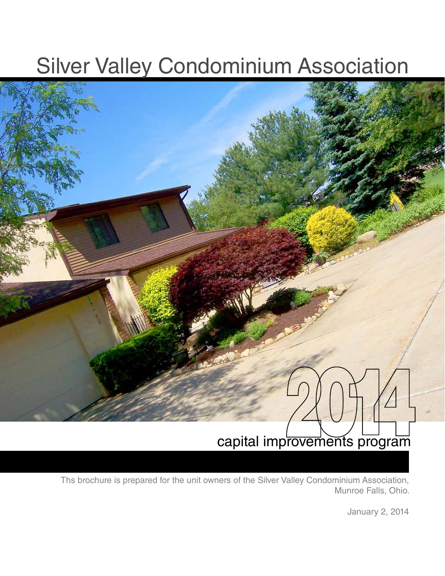## Silver Valley Condominium Association



capital improvements program

Ths brochure is prepared for the unit owners of the Silver Valley Condominium Association, Munroe Falls, Ohio.

January 2, 2014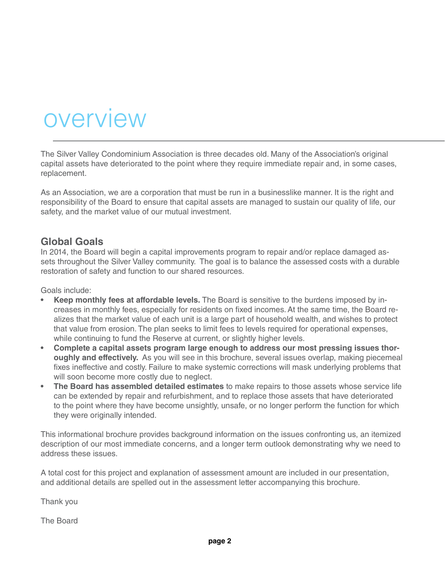## overview

The Silver Valley Condominium Association is three decades old. Many of the Association's original capital assets have deteriorated to the point where they require immediate repair and, in some cases, replacement.

As an Association, we are a corporation that must be run in a businesslike manner. It is the right and responsibility of the Board to ensure that capital assets are managed to sustain our quality of life, our safety, and the market value of our mutual investment.

#### **Global Goals**

In 2014, the Board will begin a capital improvements program to repair and/or replace damaged assets throughout the Silver Valley community. The goal is to balance the assessed costs with a durable restoration of safety and function to our shared resources.

Goals include:

- **Keep monthly fees at affordable levels.** The Board is sensitive to the burdens imposed by increases in monthly fees, especially for residents on fixed incomes. At the same time, the Board realizes that the market value of each unit is a large part of household wealth, and wishes to protect that value from erosion. The plan seeks to limit fees to levels required for operational expenses, while continuing to fund the Reserve at current, or slightly higher levels.
- **• Complete a capital assets program large enough to address our most pressing issues thoroughly and effectively.** As you will see in this brochure, several issues overlap, making piecemeal fixes ineffective and costly. Failure to make systemic corrections will mask underlying problems that will soon become more costly due to neglect.
- **The Board has assembled detailed estimates** to make repairs to those assets whose service life can be extended by repair and refurbishment, and to replace those assets that have deteriorated to the point where they have become unsightly, unsafe, or no longer perform the function for which they were originally intended.

This informational brochure provides background information on the issues confronting us, an itemized description of our most immediate concerns, and a longer term outlook demonstrating why we need to address these issues.

A total cost for this project and explanation of assessment amount are included in our presentation, and additional details are spelled out in the assessment letter accompanying this brochure.

Thank you

The Board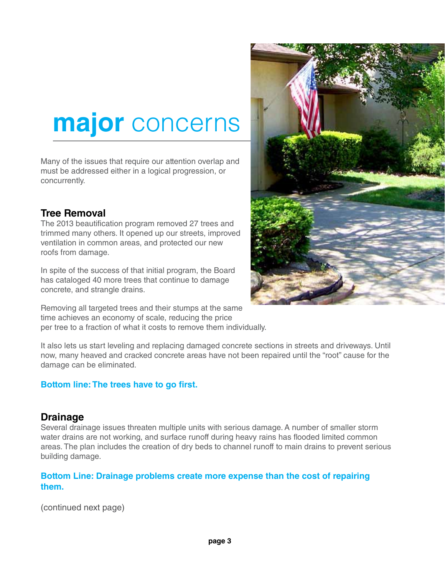# **major** concerns

Many of the issues that require our attention overlap and must be addressed either in a logical progression, or concurrently.

### **Tree Removal**

The 2013 beautification program removed 27 trees and trimmed many others. It opened up our streets, improved ventilation in common areas, and protected our new roofs from damage.

In spite of the success of that initial program, the Board has cataloged 40 more trees that continue to damage concrete, and strangle drains.

Removing all targeted trees and their stumps at the same time achieves an economy of scale, reducing the price per tree to a fraction of what it costs to remove them individually.

It also lets us start leveling and replacing damaged concrete sections in streets and driveways. Until now, many heaved and cracked concrete areas have not been repaired until the "root" cause for the damage can be eliminated.

#### **Bottom line: The trees have to go first.**

#### **Drainage**

Several drainage issues threaten multiple units with serious damage. A number of smaller storm water drains are not working, and surface runoff during heavy rains has flooded limited common areas. The plan includes the creation of dry beds to channel runoff to main drains to prevent serious building damage.

#### **Bottom Line: Drainage problems create more expense than the cost of repairing them.**

(continued next page)

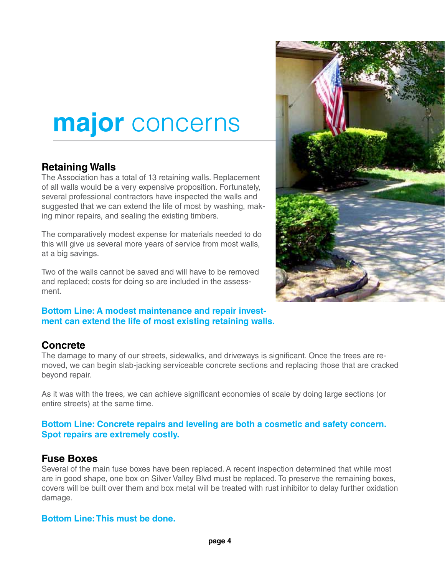# **major** concerns

### **Retaining Walls**

The Association has a total of 13 retaining walls. Replacement of all walls would be a very expensive proposition. Fortunately, several professional contractors have inspected the walls and suggested that we can extend the life of most by washing, making minor repairs, and sealing the existing timbers.

The comparatively modest expense for materials needed to do this will give us several more years of service from most walls, at a big savings.

Two of the walls cannot be saved and will have to be removed and replaced; costs for doing so are included in the assessment.

#### **Bottom Line: A modest maintenance and repair investment can extend the life of most existing retaining walls.**

### **Concrete**

The damage to many of our streets, sidewalks, and driveways is significant. Once the trees are removed, we can begin slab-jacking serviceable concrete sections and replacing those that are cracked beyond repair.

As it was with the trees, we can achieve significant economies of scale by doing large sections (or entire streets) at the same time.

#### **Bottom Line: Concrete repairs and leveling are both a cosmetic and safety concern. Spot repairs are extremely costly.**

#### **Fuse Boxes**

Several of the main fuse boxes have been replaced. A recent inspection determined that while most are in good shape, one box on Silver Valley Blvd must be replaced. To preserve the remaining boxes, covers will be built over them and box metal will be treated with rust inhibitor to delay further oxidation damage.

#### **Bottom Line: This must be done.**

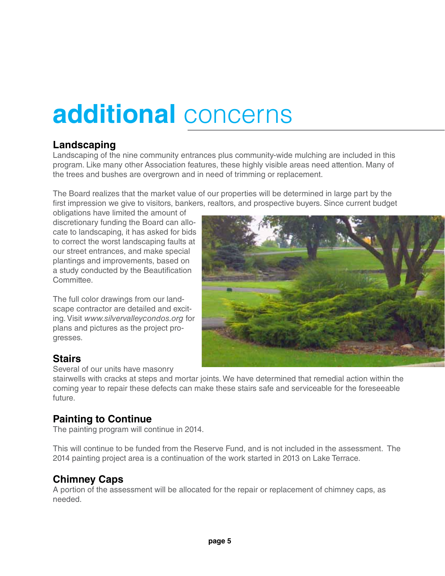# **additional** concerns

### **Landscaping**

Landscaping of the nine community entrances plus community-wide mulching are included in this program. Like many other Association features, these highly visible areas need attention. Many of the trees and bushes are overgrown and in need of trimming or replacement.

The Board realizes that the market value of our properties will be determined in large part by the first impression we give to visitors, bankers, realtors, and prospective buyers. Since current budget

obligations have limited the amount of discretionary funding the Board can allocate to landscaping, it has asked for bids to correct the worst landscaping faults at our street entrances, and make special plantings and improvements, based on a study conducted by the Beautification Committee.

The full color drawings from our landscape contractor are detailed and exciting. Visit *www.silvervalleycondos.org* for plans and pictures as the project progresses.



### **Stairs**

Several of our units have masonry

stairwells with cracks at steps and mortar joints. We have determined that remedial action within the coming year to repair these defects can make these stairs safe and serviceable for the foreseeable future.

### **Painting to Continue**

The painting program will continue in 2014.

This will continue to be funded from the Reserve Fund, and is not included in the assessment. The 2014 painting project area is a continuation of the work started in 2013 on Lake Terrace.

### **Chimney Caps**

A portion of the assessment will be allocated for the repair or replacement of chimney caps, as needed.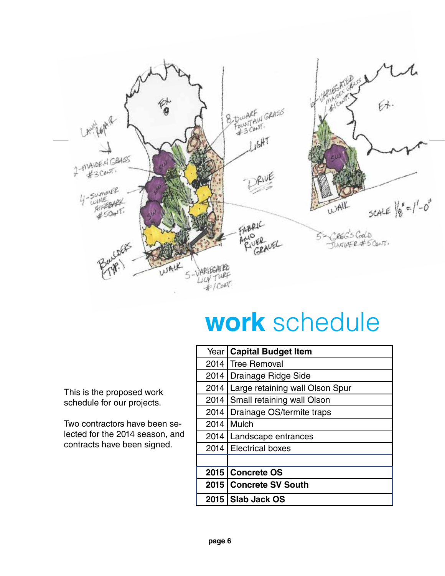

# **work** schedule

This is the proposed work schedule for our projects.

Two contractors have been selected for the 2014 season, and contracts have been signed.

|      | Year   Capital Budget Item      |  |
|------|---------------------------------|--|
|      | 2014   Tree Removal             |  |
|      | 2014   Drainage Ridge Side      |  |
| 2014 | Large retaining wall Olson Spur |  |
| 2014 | Small retaining wall Olson      |  |
| 2014 | Drainage OS/termite traps       |  |
| 2014 | Mulch                           |  |
|      | 2014   Landscape entrances      |  |
|      | 2014   Electrical boxes         |  |
|      |                                 |  |
|      | 2015   Concrete OS              |  |
|      | 2015   Concrete SV South        |  |
|      | 2015   Slab Jack OS             |  |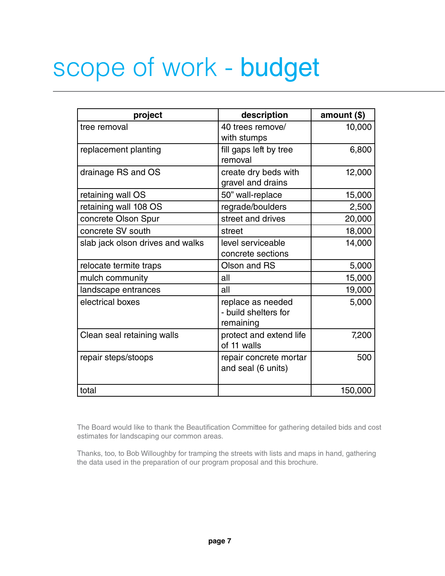# scope of work - budget

| project                          | description                                            | amount $($)$ |
|----------------------------------|--------------------------------------------------------|--------------|
| tree removal                     | 40 trees remove/<br>with stumps                        | 10,000       |
| replacement planting             | fill gaps left by tree<br>removal                      | 6,800        |
| drainage RS and OS               | create dry beds with<br>gravel and drains              | 12,000       |
| retaining wall OS                | 50" wall-replace                                       | 15,000       |
| retaining wall 108 OS            | regrade/boulders                                       | 2,500        |
| concrete Olson Spur              | street and drives                                      | 20,000       |
| concrete SV south                | street                                                 | 18,000       |
| slab jack olson drives and walks | level serviceable<br>concrete sections                 | 14,000       |
| relocate termite traps           | Olson and RS                                           | 5,000        |
| mulch community                  | all                                                    | 15,000       |
| landscape entrances              | all                                                    | 19,000       |
| electrical boxes                 | replace as needed<br>- build shelters for<br>remaining | 5,000        |
| Clean seal retaining walls       | protect and extend life<br>of 11 walls                 | 7,200        |
| repair steps/stoops              | repair concrete mortar<br>and seal (6 units)           | 500          |
| total                            |                                                        | 150,000      |

The Board would like to thank the Beautification Committee for gathering detailed bids and cost estimates for landscaping our common areas.

Thanks, too, to Bob Willoughby for tramping the streets with lists and maps in hand, gathering the data used in the preparation of our program proposal and this brochure.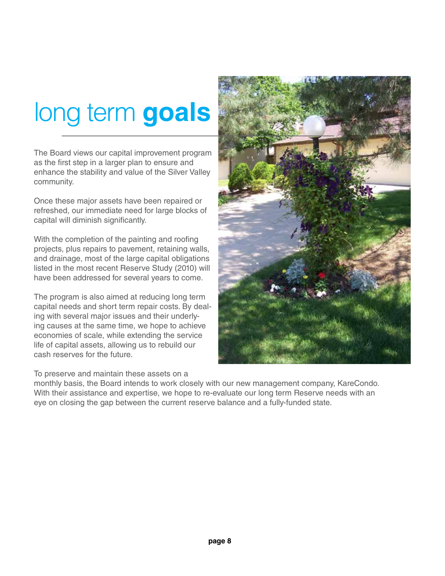# long term **goals**

The Board views our capital improvement program as the first step in a larger plan to ensure and enhance the stability and value of the Silver Valley community.

Once these major assets have been repaired or refreshed, our immediate need for large blocks of capital will diminish significantly.

With the completion of the painting and roofing projects, plus repairs to pavement, retaining walls, and drainage, most of the large capital obligations listed in the most recent Reserve Study (2010) will have been addressed for several years to come.

The program is also aimed at reducing long term capital needs and short term repair costs. By dealing with several major issues and their underlying causes at the same time, we hope to achieve economies of scale, while extending the service life of capital assets, allowing us to rebuild our cash reserves for the future.

To preserve and maintain these assets on a



monthly basis, the Board intends to work closely with our new management company, KareCondo. With their assistance and expertise, we hope to re-evaluate our long term Reserve needs with an eye on closing the gap between the current reserve balance and a fully-funded state.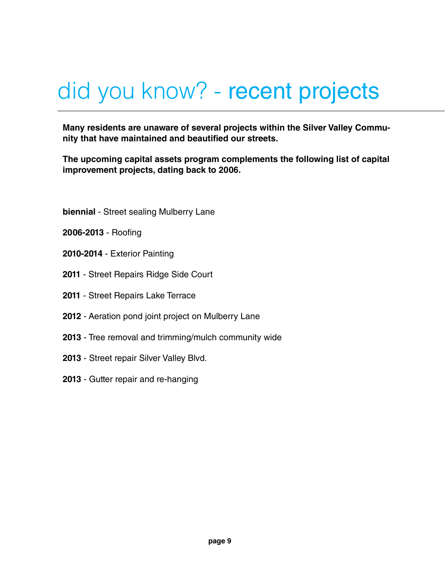# did you know? - recent projects

**Many residents are unaware of several projects within the Silver Valley Community that have maintained and beautified our streets.**

**The upcoming capital assets program complements the following list of capital improvement projects, dating back to 2006.**

- **biennial** Street sealing Mulberry Lane
- **2006-2013** Roofing
- **2010-2014** Exterior Painting
- **2011** Street Repairs Ridge Side Court
- **2011** Street Repairs Lake Terrace
- **2012** Aeration pond joint project on Mulberry Lane
- **2013** Tree removal and trimming/mulch community wide
- **2013** Street repair Silver Valley Blvd.
- **2013** Gutter repair and re-hanging